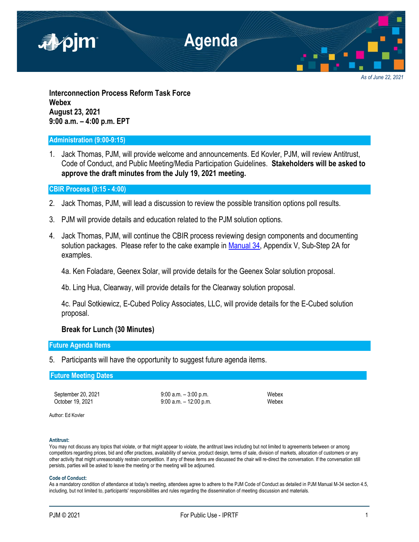

*As of June 22, 2021*

**Interconnection Process Reform Task Force Webex August 23, 2021 9:00 a.m. – 4:00 p.m. EPT**

## **Administration (9:00-9:15)**

1. Jack Thomas, PJM, will provide welcome and announcements. Ed Kovler, PJM, will review Antitrust, Code of Conduct, and Public Meeting/Media Participation Guidelines. **Stakeholders will be asked to approve the draft minutes from the July 19, 2021 meeting.**

## **CBIR Process (9:15 - 4:00)**

- 2. Jack Thomas, PJM, will lead a discussion to review the possible transition options poll results.
- 3. PJM will provide details and education related to the PJM solution options.
- 4. Jack Thomas, PJM, will continue the CBIR process reviewing design components and documenting solution packages. Please refer to the cake example in [Manual 34,](https://pjm.com/-/media/documents/manuals/m34.ashx) Appendix V, Sub-Step 2A for examples.

4a. Ken Foladare, Geenex Solar, will provide details for the Geenex Solar solution proposal.

4b. Ling Hua, Clearway, will provide details for the Clearway solution proposal.

4c. Paul Sotkiewicz, E-Cubed Policy Associates, LLC, will provide details for the E-Cubed solution proposal.

## **Break for Lunch (30 Minutes)**

## **Future Agenda Items**

5. Participants will have the opportunity to suggest future agenda items.

### **Future Meeting Dates**

September 20, 2021 9:00 a.m. – 3:00 p.m. (9:00 a.m. – 3:00 p.m.) October 19, 2021 9:00 a.m. – 12:00 p.m. Webex

Author: Ed Kovler

#### **Antitrust:**

You may not discuss any topics that violate, or that might appear to violate, the antitrust laws including but not limited to agreements between or among competitors regarding prices, bid and offer practices, availability of service, product design, terms of sale, division of markets, allocation of customers or any other activity that might unreasonably restrain competition. If any of these items are discussed the chair will re-direct the conversation. If the conversation still persists, parties will be asked to leave the meeting or the meeting will be adjourned.

#### **Code of Conduct:**

As a mandatory condition of attendance at today's meeting, attendees agree to adhere to the PJM Code of Conduct as detailed in PJM Manual M-34 section 4.5, including, but not limited to, participants' responsibilities and rules regarding the dissemination of meeting discussion and materials.